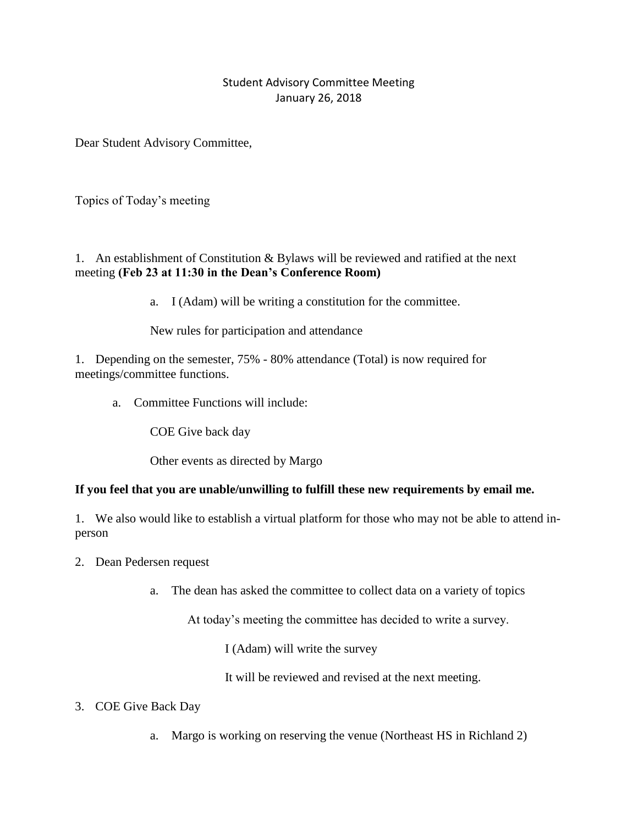## Student Advisory Committee Meeting January 26, 2018

Dear Student Advisory Committee,

Topics of Today's meeting

1. An establishment of Constitution & Bylaws will be reviewed and ratified at the next meeting **(Feb 23 at 11:30 in the Dean's Conference Room)**

a. I (Adam) will be writing a constitution for the committee.

New rules for participation and attendance

1. Depending on the semester, 75% - 80% attendance (Total) is now required for meetings/committee functions.

a. Committee Functions will include:

COE Give back day

Other events as directed by Margo

## **If you feel that you are unable/unwilling to fulfill these new requirements by email me.**

1. We also would like to establish a virtual platform for those who may not be able to attend inperson

- 2. Dean Pedersen request
	- a. The dean has asked the committee to collect data on a variety of topics

At today's meeting the committee has decided to write a survey.

I (Adam) will write the survey

It will be reviewed and revised at the next meeting.

- 3. COE Give Back Day
	- a. Margo is working on reserving the venue (Northeast HS in Richland 2)